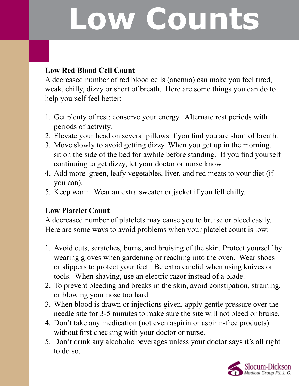# **Low Counts**

### **Low Red Blood Cell Count**

A decreased number of red blood cells (anemia) can make you feel tired, weak, chilly, dizzy or short of breath. Here are some things you can do to help yourself feel better:

- 1. Get plenty of rest: conserve your energy. Alternate rest periods with periods of activity.
- 2. Elevate your head on several pillows if you find you are short of breath.
- 3. Move slowly to avoid getting dizzy. When you get up in the morning, sit on the side of the bed for awhile before standing. If you find yourself continuing to get dizzy, let your doctor or nurse know.
- 4. Add more green, leafy vegetables, liver, and red meats to your diet (if you can).
- 5. Keep warm. Wear an extra sweater or jacket if you fell chilly.

### **Low Platelet Count**

A decreased number of platelets may cause you to bruise or bleed easily. Here are some ways to avoid problems when your platelet count is low:

- 1. Avoid cuts, scratches, burns, and bruising of the skin. Protect yourself by wearing gloves when gardening or reaching into the oven. Wear shoes or slippers to protect your feet. Be extra careful when using knives or tools. When shaving, use an electric razor instead of a blade.
- 2. To prevent bleeding and breaks in the skin, avoid constipation, straining, or blowing your nose too hard.
- 3. When blood is drawn or injections given, apply gentle pressure over the needle site for 3-5 minutes to make sure the site will not bleed or bruise.
- 4. Don't take any medication (not even aspirin or aspirin-free products) without first checking with your doctor or nurse.
- 5. Don't drink any alcoholic beverages unless your doctor says it's all right to do so.